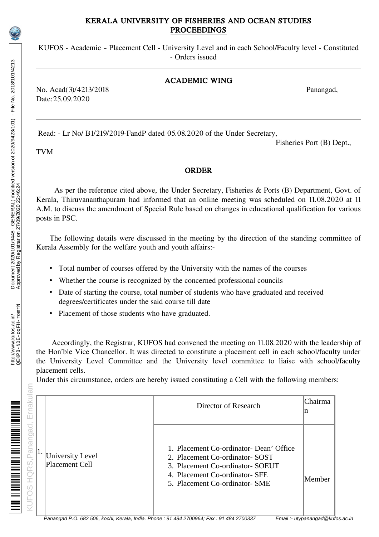## KERALA UNIVERSITY OF FISHERIES AND OCEAN STUDIES PROCEEDINGS

KUFOS - Academic – Placement Cell - University Level and in each School/Faculty level - Constituted - Orders issued

## ACADEMIC WING

No. Acad(3)/4213/2018 Panangad, Date:25.09.2020

Read: - Lr No/ B1/219/2019-FandP dated 05.08.2020 of the Under Secretary,

Fisheries Port (B) Dept.,

TVM

## ORDER

As per the reference cited above, the Under Secretary, Fisheries & Ports (B) Department, Govt. of Kerala, Thiruvananthapuram had informed that an online meeting was scheduled on 11.08.2020 at 11 A.M. to discuss the amendment of Special Rule based on changes in educational qualification for various posts in PSC.

The following details were discussed in the meeting by the direction of the standing committee of Kerala Assembly for the welfare youth and youth affairs:-

- Total number of courses offered by the University with the names of the courses
- Whether the course is recognized by the concerned professional councils
- Date of starting the course, total number of students who have graduated and received degrees/certificates under the said course till date
- Placement of those students who have graduated.

Accordingly, the Registrar, KUFOS had convened the meeting on 11.08.2020 with the leadership of the Hon'ble Vice Chancellor. It was directed to constitute a placement cell in each school/faculty under the University Level Committee and the University level committee to liaise with school/faculty placement cells.

Under this circumstance, orders are hereby issued constituting a Cell with the following members:

| rnaku<br>ш                        |                                           | Director of Research                                                                                                                                                              | Chairma<br>n |
|-----------------------------------|-------------------------------------------|-----------------------------------------------------------------------------------------------------------------------------------------------------------------------------------|--------------|
| Panangad<br><b>HQRS</b><br>S<br>Ĕ | <b>University Level</b><br>Placement Cell | 1. Placement Co-ordinator- Dean' Office<br>2. Placement Co-ordinator-SOST<br>3. Placement Co-ordinator- SOEUT<br>4. Placement Co-ordinator- SFE<br>5. Placement Co-ordinator- SME | Member       |

am

IE BERT DIE TERRITORIE DE L'ANGLIE DE LA BISBONIA DE L'ANGLIA DE L'ANGLIA DE L'ANGLIA DE L'ANGLIA DE L'ANGLIA